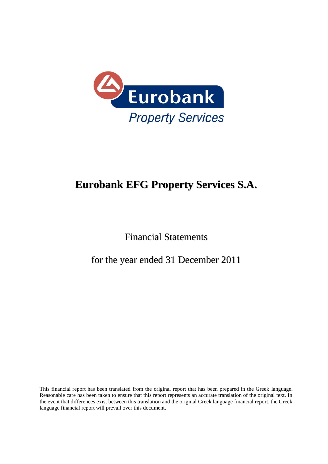

# **Eurobank EFG Property Services S.A.**

Financial Statements

for the year ended 31 December 2011

This financial report has been translated from the original report that has been prepared in the Greek language. Reasonable care has been taken to ensure that this report represents an accurate translation of the original text. In the event that differences exist between this translation and the original Greek language financial report, the Greek language financial report will prevail over this document.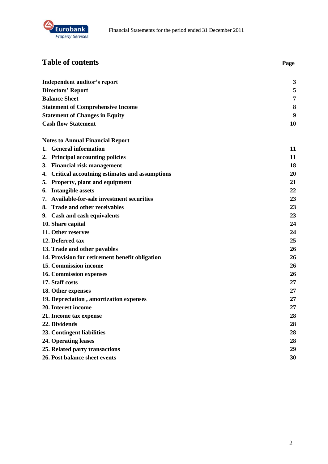

# **Table of contents Page**

| Independent auditor's report                     | 3  |
|--------------------------------------------------|----|
| <b>Directors' Report</b>                         | 5  |
| <b>Balance Sheet</b>                             | 7  |
| <b>Statement of Comprehensive Income</b>         | 8  |
| <b>Statement of Changes in Equity</b>            | 9  |
| <b>Cash flow Statement</b>                       | 10 |
| <b>Notes to Annual Financial Report</b>          |    |
| 1. General information                           | 11 |
| 2. Principal accounting policies                 | 11 |
| 3. Financial risk management                     | 18 |
| 4. Critical accoutning estimates and assumptions | 20 |
| 5. Property, plant and equipment                 | 21 |
| 6. Intangible assets                             | 22 |
| 7. Available-for-sale investment securities      | 23 |
| 8. Trade and other receivables                   | 23 |
| 9. Cash and cash equivalents                     | 23 |
| 10. Share capital                                | 24 |
| 11. Other reserves                               | 24 |
| 12. Deferred tax                                 | 25 |
| 13. Trade and other payables                     | 26 |
| 14. Provision for retirement benefit obligation  | 26 |
| 15. Commission income                            | 26 |
| 16. Commission expenses                          | 26 |
| 17. Staff costs                                  | 27 |
| 18. Other expenses                               | 27 |
| 19. Depreciation, amortization expenses          | 27 |
| 20. Interest income                              | 27 |
| 21. Income tax expense                           | 28 |
| 22. Dividends                                    | 28 |
| 23. Contingent liabilities                       | 28 |
| 24. Operating leases                             | 28 |
| 25. Related party transactions                   | 29 |
| 26. Post balance sheet events                    | 30 |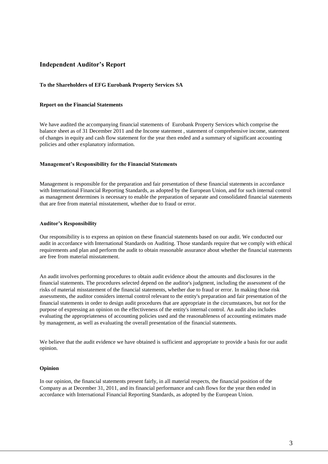## **Independent Auditor's Report**

#### **To the Shareholders of EFG Eurobank Property Services SA**

#### **Report on the Financial Statements**

We have audited the accompanying financial statements of Eurobank Property Services which comprise the balance sheet as of 31 December 2011 and the Income statement , statement of comprehensive income, statement of changes in equity and cash flow statement for the year then ended and a summary of significant accounting policies and other explanatory information.

#### **Management's Responsibility for the Financial Statements**

Management is responsible for the preparation and fair presentation of these financial statements in accordance with International Financial Reporting Standards, as adopted by the European Union, and for such internal control as management determines is necessary to enable the preparation of separate and consolidated financial statements that are free from material misstatement, whether due to fraud or error.

#### **Auditor's Responsibility**

Our responsibility is to express an opinion on these financial statements based on our audit. We conducted our audit in accordance with International Standards on Auditing. Those standards require that we comply with ethical requirements and plan and perform the audit to obtain reasonable assurance about whether the financial statements are free from material misstatement.

An audit involves performing procedures to obtain audit evidence about the amounts and disclosures in the financial statements. The procedures selected depend on the auditor's judgment, including the assessment of the risks of material misstatement of the financial statements, whether due to fraud or error. In making those risk assessments, the auditor considers internal control relevant to the entity's preparation and fair presentation of the financial statements in order to design audit procedures that are appropriate in the circumstances, but not for the purpose of expressing an opinion on the effectiveness of the entity's internal control. An audit also includes evaluating the appropriateness of accounting policies used and the reasonableness of accounting estimates made by management, as well as evaluating the overall presentation of the financial statements.

We believe that the audit evidence we have obtained is sufficient and appropriate to provide a basis for our audit opinion.

#### **Opinion**

In our opinion, the financial statements present fairly, in all material respects, the financial position of the Company as at December 31, 2011, and its financial performance and cash flows for the year then ended in accordance with International Financial Reporting Standards, as adopted by the European Union.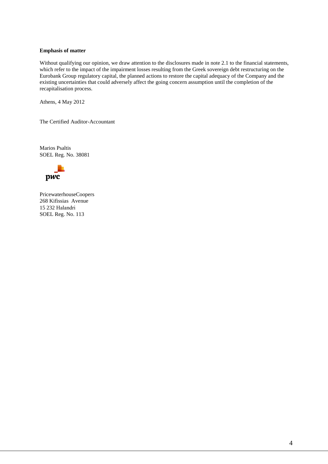#### **Emphasis of matter**

Without qualifying our opinion, we draw attention to the disclosures made in note 2.1 to the financial statements, which refer to the impact of the impairment losses resulting from the Greek sovereign debt restructuring on the Eurobank Group regulatory capital, the planned actions to restore the capital adequacy of the Company and the existing uncertainties that could adversely affect the going concern assumption until the completion of the recapitalisation process.

Athens, 4 May 2012

The Certified Auditor-Accountant

Marios Psaltis SOEL Reg. No. 38081



PricewaterhouseCoopers 268 Kifissias Avenue 15 232 Ηalandri SOEL Reg. No. 113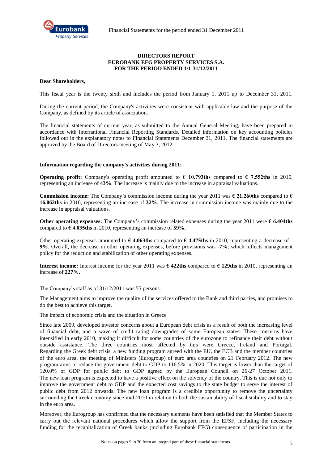

#### **DIRECTORS REPORT EUROBANK EFG PROPERTY SERVICES S.A. FOR THE PERIOD ENDED 1/1-31/12/2011**

#### **Dear Shareholders,**

This fiscal year is the twenty sixth and includes the period from January 1, 2011 up to December 31, 2011.

During the current period, the Company's activities were consistent with applicable law and the purpose of the Company, as defined by its article of association.

The financial statements of current year, as submitted to the Annual General Meeting, have been prepared in accordance with International Financial Reporting Standards. Detailed information on key accounting policies followed out in the explanatory notes to Financial Statements December 31, 2011. The financial statements are approved by the Board of Directors meeting of May 3, 2012

#### **Information regarding the company's activities during 2011:**

**Operating profit:** Company's operating profit amounted to **€ 10.793ths** compared to **€ 7.552ths** in 2010, representing an increase of **43%**. The increase is mainly due to the increase in appraisal valuations.

**Commission income:** The Company's commission income during the year 2011 was  $\epsilon$  21.260ths compared to  $\epsilon$ **16.062th**s in 2010, representing an increase of **32%**. The increase in commission income was mainly due to the increase in appraisal valuations.

**Other operating expenses:** The Company's commission related expenses during the year 2011 were  $\epsilon$  6.404ths compared to **€ 4.035ths** in 2010, representing an increase of **59%.**

Other operating expenses amounted to **€ 4.063ths** compared to **€ 4.475ths** in 2010, representing a decrease of **- 9%**. Overall, the decrease in other operating expenses, before provisions was **-7%**, which reflects management policy for the reduction and stabilization of other operating expenses.

**Interest income:** Interest income for the year 2011 was  $\epsilon$  **422ths** compared to  $\epsilon$  **129ths** in 2010, representing an increase of **227%.**

The Company's staff as of  $31/12/2011$  was 55 persons.

The Management aims to improve the quality of the services offered to the Bank and third parties, and promises to do the best to achieve this target.

The impact of economic crisis and the situation in Greece

Since late 2009, developed investor concerns about a European debt crisis as a result of both the increasing level of financial debt, and a wave of credit rating downgrades of some European states. These concerns have intensified in early 2010, making it difficult for some countries of the eurozone to refinance their debt without outside assistance. The three countries most affected by this were Greece, Ireland and Portugal. Regarding the Greek debt crisis, a new funding program agreed with the EU, the ECB and the member countries of the euro area, the meeting of Ministers (Eurogroup) of euro area countries on 21 February 2012. The new program aims to reduce the government debt to GDP to 116.5% in 2020. This target is lower than the target of 120.0% of GDP for public debt to GDP agreed by the European Council on 26-27 October 2011. The new loan program is expected to have a positive effect on the solvency of the country. This is due not only to improve the government debt to GDP and the expected cost savings to the state budget to serve the interest of public debt from 2012 onwards. The new loan program is a credible opportunity to remove the uncertainty surrounding the Greek economy since mid-2010 in relation to both the sustainability of fiscal stability and to stay in the euro area.

Moreover, the Eurogroup has confirmed that the necessary elements have been satisfied that the Member States to carry out the relevant national procedures which allow the support from the EFSF, including the necessary funding for the recapitalization of Greek banks (including Eurobank EFG) consequence of participation in the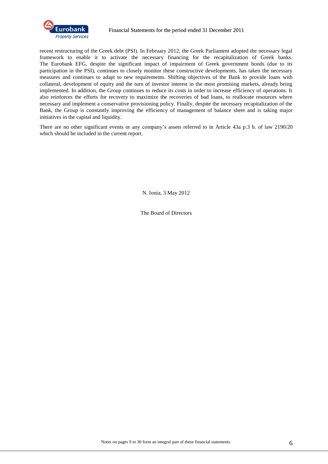

recent restructuring of the Greek debt (PSI). In February 2012, the Greek Parliament adopted the necessary legal framework to enable it to activate the necessary financing for the recapitalization of Greek banks. The Eurobank EFG, despite the significant impact of impairment of Greek government bonds (due to its participation in the PSI), continues to closely monitor these constructive developments, has taken the necessary measures and continues to adapt to new requirements. Shifting objectives of the Bank to provide loans with collateral, development of equity and the turn of investor interest in the most promising markets, already being implemented. In addition, the Group continues to reduce its costs in order to increase efficiency of operations. It also reinforces the efforts for recovery to maximize the recoveries of bad loans, to reallocate resources where necessary and implement a conservative provisioning policy. Finally, despite the necessary recapitalization of the Bank, the Group is constantly improving the efficiency of management of balance sheet and is taking major initiatives in the capital and liquidity.

There are no other significant events or any company"s assets referred to in Article 43a p.3 b. of law 2190/20 which should be included in the current report.

N. Ionia, 3 May 2012

The Board of Directors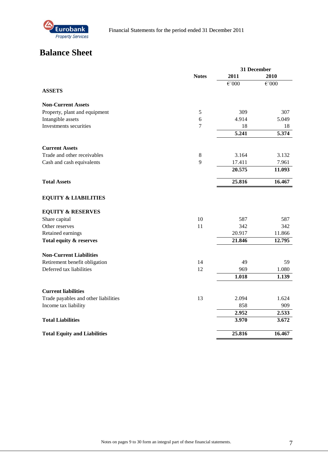

## **Balance Sheet**

|                                            |                     | 31 December               |
|--------------------------------------------|---------------------|---------------------------|
| <b>Notes</b>                               | 2011                | 2010                      |
|                                            | $\overline{f(000)}$ | $\overline{\text{E}$ '000 |
| <b>ASSETS</b>                              |                     |                           |
| <b>Non-Current Assets</b>                  |                     |                           |
| Property, plant and equipment<br>5         | 309                 | 307                       |
| 6<br>Intangible assets                     | 4.914               | 5.049                     |
| 7<br>Investments securities                | 18                  | 18                        |
|                                            | 5.241               | 5.374                     |
| <b>Current Assets</b>                      |                     |                           |
| Trade and other receivables<br>$8\,$       | 3.164               | 3.132                     |
| 9<br>Cash and cash equivalents             | 17.411              | 7.961                     |
|                                            | 20.575              | 11.093                    |
| <b>Total Assets</b>                        | 25.816              | 16.467                    |
| <b>EQUITY &amp; LIABILITIES</b>            |                     |                           |
| <b>EQUITY &amp; RESERVES</b>               |                     |                           |
| 10<br>Share capital                        | 587                 | 587                       |
| 11<br>Other reserves                       | 342                 | 342                       |
| Retained earnings                          | 20.917              | 11.866                    |
| Total equity & reserves                    | 21.846              | 12.795                    |
| <b>Non-Current Liabilities</b>             |                     |                           |
| Retirement benefit obligation<br>14        | 49                  | 59                        |
| Deferred tax liabilities<br>12             | 969                 | 1.080                     |
|                                            | 1.018               | 1.139                     |
| <b>Current liabilities</b>                 |                     |                           |
| Trade payables and other liabilities<br>13 | 2.094               | 1.624                     |
| Income tax liability                       | 858                 | 909                       |
|                                            | 2.952               | 2.533                     |
| <b>Total Liabilities</b>                   | 3.970               | 3.672                     |
| <b>Total Equity and Liabilities</b>        | 25.816              | 16.467                    |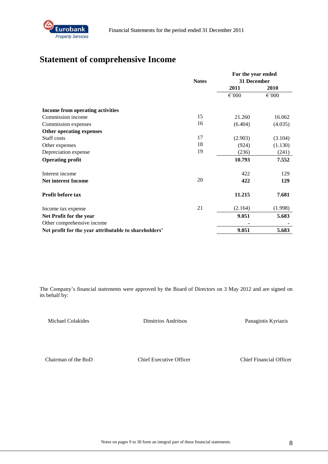

# **Statement of comprehensive Income**

|                                                       |              | For the year ended |                 |
|-------------------------------------------------------|--------------|--------------------|-----------------|
|                                                       | <b>Notes</b> | 31 December        |                 |
|                                                       |              | 2011               | 2010            |
|                                                       |              | €'000              | $\epsilon$ '000 |
| Income from operating activities                      |              |                    |                 |
| Commission income                                     | 15           | 21.260             | 16.062          |
| Commission expenses                                   | 16           | (6.404)            | (4.035)         |
| Other operating expenses                              |              |                    |                 |
| Staff costs                                           | 17           | (2.903)            | (3.104)         |
| Other expenses                                        | 18           | (924)              | (1.130)         |
| Depreciation expense                                  | 19           | (236)              | (241)           |
| <b>Operating profit</b>                               |              | 10.793             | 7.552           |
| Interest income                                       |              | 422                | 129             |
| <b>Net interest Income</b>                            | 20           | 422                | 129             |
| Profit before tax                                     |              | 11.215             | 7.681           |
| Income tax expense                                    | 21           | (2.164)            | (1.998)         |
| Net Profit for the year                               |              | 9.051              | 5.683           |
| Other comprehensive income                            |              |                    |                 |
| Net profit for the year attributable to shareholders' |              | 9.051              | 5.683           |

The Company's financial statements were approved by the Board of Directors on 3 May 2012 and are signed on its behalf by:

Michael Colakides Dimitrios Andritsos Panagiotis Kyriazis

Chairman of the BoD Chief Executive Officer Chief Financial Officer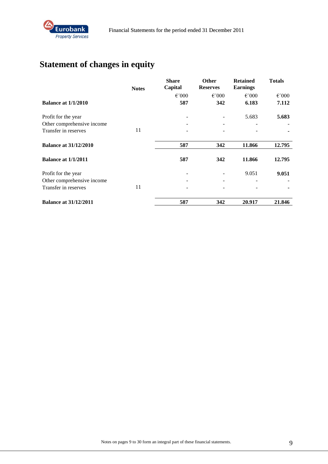

# **Statement of changes in equity**

|                              | <b>Notes</b> | <b>Share</b><br>Capital | <b>Other</b><br><b>Reserves</b> | <b>Retained</b><br><b>Earnings</b> | <b>Totals</b>   |
|------------------------------|--------------|-------------------------|---------------------------------|------------------------------------|-----------------|
|                              |              | $\epsilon$ '000         | $\epsilon$ '000                 | €'000                              | $\epsilon$ '000 |
| Balance at 1/1/2010          |              | 587                     | 342                             | 6.183                              | 7.112           |
| Profit for the year          |              |                         | -                               | 5.683                              | 5.683           |
| Other comprehensive income   |              |                         |                                 |                                    |                 |
| Transfer in reserves         | 11           |                         |                                 |                                    |                 |
| <b>Balance at 31/12/2010</b> |              | 587                     | 342                             | 11.866                             | 12.795          |
| <b>Balance at 1/1/2011</b>   |              | 587                     | 342                             | 11.866                             | 12.795          |
| Profit for the year          |              |                         |                                 | 9.051                              | 9.051           |
| Other comprehensive income   |              |                         |                                 |                                    |                 |
| Transfer in reserves         | 11           |                         |                                 |                                    |                 |
| <b>Balance at 31/12/2011</b> |              | 587                     | 342                             | 20.917                             | 21.846          |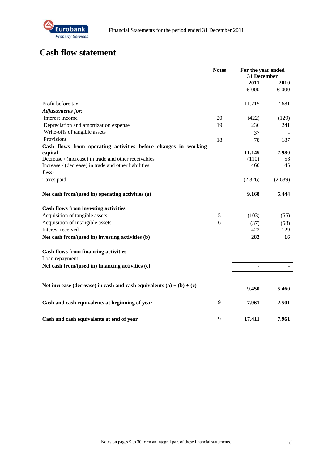

## **Cash flow statement**

|                                                                        | <b>Notes</b> | For the year ended<br>31 December |         |
|------------------------------------------------------------------------|--------------|-----------------------------------|---------|
|                                                                        |              | 2011                              | 2010    |
|                                                                        |              | €'000                             | €'000   |
| Profit before tax                                                      |              | 11.215                            | 7.681   |
| <b>Adjustements for:</b>                                               |              |                                   |         |
| Interest income                                                        | 20           | (422)                             | (129)   |
| Depreciation and amortization expense                                  | 19           | 236                               | 241     |
| Write-offs of tangible assets                                          |              | 37                                |         |
| Provisions                                                             | 18           | 78                                | 187     |
| Cash flows from operating activities before changes in working         |              |                                   |         |
| capital                                                                |              | 11.145                            | 7.980   |
| Decrease / (increase) in trade and other receivables                   |              | (110)                             | 58      |
| Increase / (decrease) in trade and other liabilities                   |              | 460                               | 45      |
| Less:                                                                  |              |                                   |         |
| Taxes paid                                                             |              | (2.326)                           | (2.639) |
| Net cash from/(used in) operating activities (a)                       |              | 9.168                             | 5.444   |
| <b>Cash flows from investing activities</b>                            |              |                                   |         |
| Acquisition of tangible assets                                         | 5            | (103)                             | (55)    |
| Acquisition of intangible assets                                       | 6            | (37)                              | (58)    |
| Interest received                                                      |              | 422                               | 129     |
| Net cash from/(used in) investing activities (b)                       |              | 282                               | 16      |
| <b>Cash flows from financing activities</b>                            |              |                                   |         |
| Loan repayment                                                         |              |                                   |         |
| Net cash from/(used in) financing activities (c)                       |              |                                   |         |
|                                                                        |              |                                   |         |
| Net increase (decrease) in cash and cash equivalents $(a) + (b) + (c)$ |              | 9.450                             | 5.460   |
| Cash and cash equivalents at beginning of year                         | 9            | 7.961                             | 2.501   |
|                                                                        | 9            |                                   |         |
| Cash and cash equivalents at end of year                               |              | 17.411                            | 7.961   |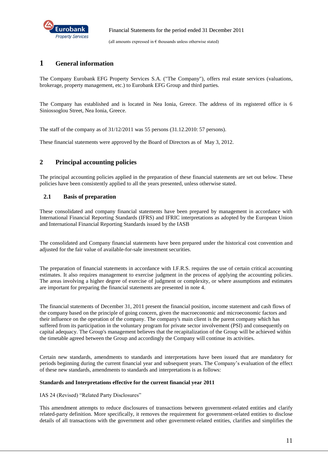

## **1 General information**

The Company Eurobank EFG Property Services S.A. ("The Company"), offers real estate services (valuations, brokerage, property management, etc.) to Eurobank EFG Group and third parties.

The Company has established and is located in Nea Ionia, Greece. The address of its registered office is 6 Siniossoglou Street, Nea Ionia, Greece.

The staff of the company as of 31/12/2011 was 55 persons (31.12.2010: 57 persons).

These financial statements were approved by the Board of Directors as of May 3, 2012.

## **2 Principal accounting policies**

The principal accounting policies applied in the preparation of these financial statements are set out below. These policies have been consistently applied to all the years presented, unless otherwise stated.

## **2.1 Basis of preparation**

These consolidated and company financial statements have been prepared by management in accordance with International Financial Reporting Standards (IFRS) and IFRIC interpretations as adopted by the European Union and International Financial Reporting Standards issued by the IASB

The consolidated and Company financial statements have been prepared under the historical cost convention and adjusted for the fair value of available-for-sale investment securities.

The preparation of financial statements in accordance with I.F.R.S. requires the use of certain critical accounting estimates. It also requires management to exercise judgment in the process of applying the accounting policies. The areas involving a higher degree of exercise of judgment or complexity, or where assumptions and estimates are important for preparing the financial statements are presented in note 4.

The financial statements of December 31, 2011 present the financial position, income statement and cash flows of the company based on the principle of going concern, given the macroeconomic and microeconomic factors and their influence on the operation of the company. The company's main client is the parent company which has suffered from its participation in the voluntary program for private sector involvement (PSI) and consequently on capital adequacy. The Group's management believes that the recapitalization of the Group will be achieved within the timetable agreed between the Group and accordingly the Company will continue its activities.

Certain new standards, amendments to standards and interpretations have been issued that are mandatory for periods beginning during the current financial year and subsequent years. The Company"s evaluation of the effect of these new standards, amendments to standards and interpretations is as follows:

#### **Standards and Interpretations effective for the current financial year 2011**

IAS 24 (Revised) "Related Party Disclosures"

This amendment attempts to reduce disclosures of transactions between government-related entities and clarify related-party definition. More specifically, it removes the requirement for government-related entities to disclose details of all transactions with the government and other government-related entities, clarifies and simplifies the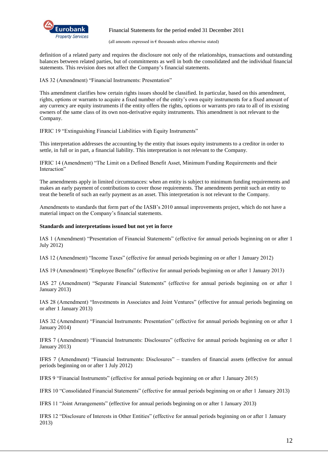

(all amounts expressed in  $\epsilon$  thousands unless otherwise stated)

definition of a related party and requires the disclosure not only of the relationships, transactions and outstanding balances between related parties, but of commitments as well in both the consolidated and the individual financial statements. This revision does not affect the Company"s financial statements.

IAS 32 (Amendment) "Financial Instruments: Presentation"

This amendment clarifies how certain rights issues should be classified. In particular, based on this amendment, rights, options or warrants to acquire a fixed number of the entity"s own equity instruments for a fixed amount of any currency are equity instruments if the entity offers the rights, options or warrants pro rata to all of its existing owners of the same class of its own non-derivative equity instruments. This amendment is not relevant to the Company.

IFRIC 19 "Extinguishing Financial Liabilities with Equity Instruments"

This interpretation addresses the accounting by the entity that issues equity instruments to a creditor in order to settle, in full or in part, a financial liability. This interpretation is not relevant to the Company.

IFRIC 14 (Amendment) "The Limit on a Defined Benefit Asset, Minimum Funding Requirements and their Interaction"

The amendments apply in limited circumstances: when an entity is subject to minimum funding requirements and makes an early payment of contributions to cover those requirements. The amendments permit such an entity to treat the benefit of such an early payment as an asset. This interpretation is not relevant to the Company.

Amendments to standards that form part of the IASB"s 2010 annual improvements project, which do not have a material impact on the Company"s financial statements.

#### **Standards and interpretations issued but not yet in force**

IAS 1 (Amendment) "Presentation of Financial Statements" (effective for annual periods beginning on or after 1 July 2012)

IAS 12 (Amendment) "Income Taxes" (effective for annual periods beginning on or after 1 January 2012)

IAS 19 (Amendment) "Employee Benefits" (effective for annual periods beginning on or after 1 January 2013)

IAS 27 (Amendment) "Separate Financial Statements" (effective for annual periods beginning on or after 1 January 2013)

IAS 28 (Amendment) "Investments in Associates and Joint Ventures" (effective for annual periods beginning on or after 1 January 2013)

IAS 32 (Amendment) "Financial Instruments: Presentation" (effective for annual periods beginning on or after 1 January 2014)

IFRS 7 (Amendment) "Financial Instruments: Disclosures" (effective for annual periods beginning on or after 1 January 2013)

IFRS 7 (Amendment) "Financial Instruments: Disclosures" – transfers of financial assets (effective for annual periods beginning on or after 1 July 2012)

IFRS 9 "Financial Instruments" (effective for annual periods beginning on or after 1 January 2015)

IFRS 10 "Consolidated Financial Statements" (effective for annual periods beginning on or after 1 January 2013)

IFRS 11 "Joint Arrangements" (effective for annual periods beginning on or after 1 January 2013)

IFRS 12 "Disclosure of Interests in Other Entities" (effective for annual periods beginning on or after 1 January 2013)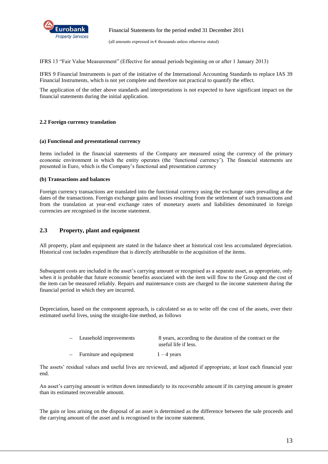

(all amounts expressed in  $\epsilon$  thousands unless otherwise stated)

IFRS 13 "Fair Value Measurement" (Effective for annual periods beginning on or after 1 January 2013)

IFRS 9 Financial Instruments is part of the initiative of the International Accounting Standards to replace IAS 39 Financial Instruments, which is not yet complete and therefore not practical to quantify the effect.

The application of the other above standards and interpretations is not expected to have significant impact on the financial statements during the initial application.

#### **2.2 Foreign currency translation**

#### **(a) Functional and presentational currency**

Items included in the financial statements of the Company are measured using the currency of the primary economic environment in which the entity operates (the "functional currency"). The financial statements are presented in Euro, which is the Company"s functional and presentation currency

#### **(b) Transactions and balances**

Foreign currency transactions are translated into the functional currency using the exchange rates prevailing at the dates of the transactions. Foreign exchange gains and losses resulting from the settlement of such transactions and from the translation at year-end exchange rates of monetary assets and liabilities denominated in foreign currencies are recognised in the income statement.

#### **2.3 Property, plant and equipment**

All property, plant and equipment are stated in the balance sheet at historical cost less accumulated depreciation. Historical cost includes expenditure that is directly attributable to the acquisition of the items.

Subsequent costs are included in the asset"s carrying amount or recognised as a separate asset, as appropriate, only when it is probable that future economic benefits associated with the item will flow to the Group and the cost of the item can be measured reliably. Repairs and maintenance costs are charged to the income statement during the financial period in which they are incurred.

Depreciation, based on the component approach, is calculated so as to write off the cost of the assets, over their estimated useful lives, using the straight-line method, as follows

| - Leasehold improvements    | 8 years, according to the duration of the contract or the<br>useful life if less. |
|-----------------------------|-----------------------------------------------------------------------------------|
| $-$ Furniture and equipment | $1 - 4$ vears                                                                     |

The assets' residual values and useful lives are reviewed, and adjusted if appropriate, at least each financial year end.

An asset's carrying amount is written down immediately to its recoverable amount if its carrying amount is greater than its estimated recoverable amount.

The gain or loss arising on the disposal of an asset is determined as the difference between the sale proceeds and the carrying amount of the asset and is recognised in the income statement.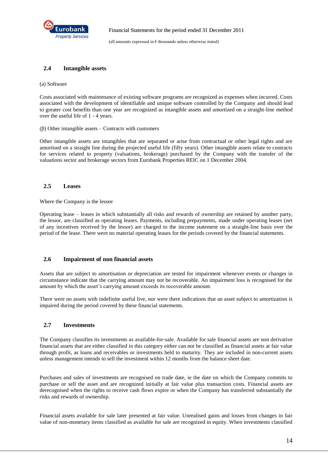

## **2.4 Intangible assets**

#### (a) Software

Costs associated with maintenance of existing software programs are recognized as expenses when incurred. Costs associated with the development of identifiable and unique software controlled by the Company and should lead to greater cost benefits than one year are recognized as intangible assets and amortized on a straight-line method over the useful life of 1 - 4 years.

(β) Other intangible assets – Contracts with customers

Other intangible assets are intangibles that are separated or arise from contractual or other legal rights and are amortised on a straight line during the projected useful life (fifty years). Other intangible assets relate to contracts for services related to property (valuations, brokerage) purchased by the Company with the transfer of the valuations sector and brokerage sectors from Eurobank Properties REIC on 1 December 2004.

#### **2.5 Leases**

Where the Company is the lessee

Operating lease – leases in which substantially all risks and rewards of ownership are retained by another party, the lessor, are classified as operating leases. Payments, including prepayments, made under operating leases (net of any incentives received by the lessor) are charged to the income statement on a straight-line basis over the period of the lease. There were no material operating leases for the periods covered by the financial statements.

## **2.6 Impairment of non financial assets**

Assets that are subject to amortisation or depreciation are tested for impairment whenever events or changes in circumstance indicate that the carrying amount may not be recoverable. An impairment loss is recognised for the amount by which the asset's carrying amount exceeds its recoverable amount.

There were no assets with indefinite useful live, nor were there indications that an asset subject to amortization is impaired during the period covered by these financial statements.

## **2.7 Investments**

The Company classifies its investments as available-for-sale. Available for sale financial assets are non derivative financial assets that are either classified in this category either can not be classified as financial assets at fair value through profit, as loans and receivables or investments held to maturity. They are included in non-current assets unless management intends to sell the investment within 12 months from the balance sheet date.

Purchases and sales of investments are recognised on trade date, ie the date on which the Company commits to purchase or sell the asset and are recognized initially at fair value plus transaction costs. Financial assets are derecognised when the rights to receive cash flows expire or when the Company has transferred substantially the risks and rewards of ownership.

Financial assets available for sale later presented at fair value. Unrealised gains and losses from changes in fair value of non-monetary items classified as available for sale are recognized in equity. When investments classified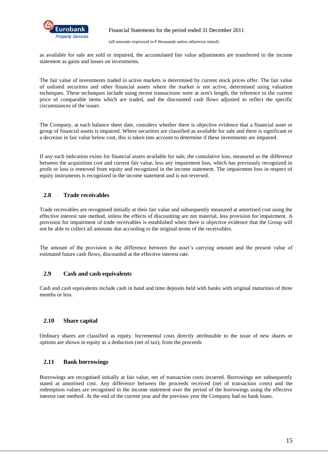

#### (all amounts expressed in  $\epsilon$  thousands unless otherwise stated)

as available for sale are sold or impaired, the accumulated fair value adjustments are transferred to the income statement as gains and losses on investments.

The fair value of investments traded in active markets is determined by current stock prices offer. The fair value of unlisted securities and other financial assets where the market is not active, determined using valuation techniques. These techniques include using recent transactions were at arm's length, the reference to the current price of comparable items which are traded, and the discounted cash flows adjusted to reflect the specific circumstances of the issuer.

The Company, at each balance sheet date, considers whether there is objective evidence that a financial asset or group of financial assets is impaired. Where securities are classified as available for sale and there is significant or a decrease in fair value below cost, this is taken into account to determine if these investments are impaired.

If any such indication exists for financial assets available for sale, the cumulative loss, measured as the difference between the acquisition cost and current fair value, less any impairment loss, which has previously recognized in profit or loss is removed from equity and recognized in the income statement. The impairment loss in respect of equity instruments is recognized in the income statement and is not reversed.

## **2.8 Trade receivables**

Trade receivables are recognised initially at their fair value and subsequently measured at amortised cost using the effective interest rate method, unless the effects of discounting are not material, less provision for impairment. A provision for impairment of trade receivables is established when there is objective evidence that the Group will not be able to collect all amounts due according to the original terms of the receivables.

The amount of the provision is the difference between the asset's carrying amount and the present value of estimated future cash flows, discounted at the effective interest rate.

## **2.9 Cash and cash equivalents**

Cash and cash equivalents include cash in hand and time deposits held with banks with original maturities of three months or less.

## **2.10 Share capital**

Ordinary shares are classified as equity. Incremental costs directly attributable to the issue of new shares or options are shown in equity as a deduction (net of tax), from the proceeds

## **2.11 Bank borrowings**

Borrowings are recognised initially at fair value, net of transaction costs incurred. Borrowings are subsequently stated at amortised cost. Any difference between the proceeds received (net of transaction costs) and the redemption values are recognised in the income statement over the period of the borrowings using the effective interest rate method. At the end of the current year and the previous year the Company had no bank loans.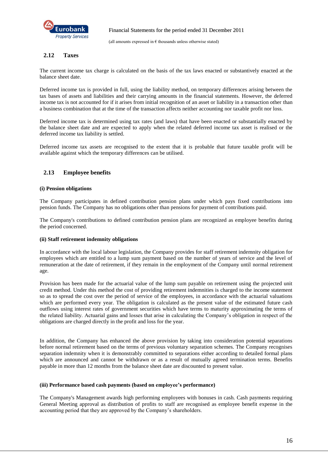

## **2.12 Taxes**

The current income tax charge is calculated on the basis of the tax laws enacted or substantively enacted at the balance sheet date.

Deferred income tax is provided in full, using the liability method, on temporary differences arising between the tax bases of assets and liabilities and their carrying amounts in the financial statements. However, the deferred income tax is not accounted for if it arises from initial recognition of an asset or liability in a transaction other than a business combination that at the time of the transaction affects neither accounting nor taxable profit nor loss.

Deferred income tax is determined using tax rates (and laws) that have been enacted or substantially enacted by the balance sheet date and are expected to apply when the related deferred income tax asset is realised or the deferred income tax liability is settled.

Deferred income tax assets are recognised to the extent that it is probable that future taxable profit will be available against which the temporary differences can be utilised.

## **2.13 Employee benefits**

#### **(i) Pension obligations**

The Company participates in defined contribution pension plans under which pays fixed contributions into pension funds. The Company has no obligations other than pensions for payment of contributions paid.

The Company's contributions to defined contribution pension plans are recognized as employee benefits during the period concerned.

#### **(ii) Staff retirement indemnity obligations**

In accordance with the local labour legislation, the Company provides for staff retirement indemnity obligation for employees which are entitled to a lump sum payment based on the number of years of service and the level of remuneration at the date of retirement, if they remain in the employment of the Company until normal retirement age.

Provision has been made for the actuarial value of the lump sum payable on retirement using the projected unit credit method. Under this method the cost of providing retirement indemnities is charged to the income statement so as to spread the cost over the period of service of the employees, in accordance with the actuarial valuations which are performed every year. The obligation is calculated as the present value of the estimated future cash outflows using interest rates of government securities which have terms to maturity approximating the terms of the related liability. Actuarial gains and losses that arise in calculating the Company"s obligation in respect of the obligations are charged directly in the profit and loss for the year.

In addition, the Company has enhanced the above provision by taking into consideration potential separations before normal retirement based on the terms of previous voluntary separation schemes. The Company recognises separation indemnity when it is demonstrably committed to separations either according to detailed formal plans which are announced and cannot be withdrawn or as a result of mutually agreed termination terms. Benefits payable in more than 12 months from the balance sheet date are discounted to present value.

#### **(iii) Performance based cash payments (based on employee's performance)**

The Company's Management awards high performing employees with bonuses in cash. Cash payments requiring General Meeting approval as distribution of profits to staff are recognised as employee benefit expense in the accounting period that they are approved by the Company"s shareholders.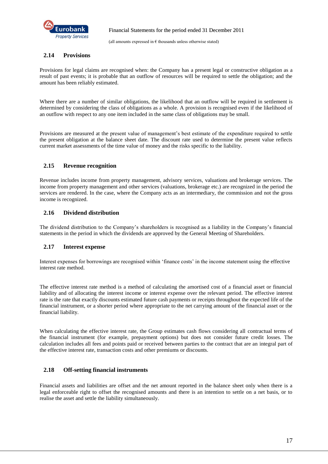

(all amounts expressed in  $\epsilon$  thousands unless otherwise stated)

## **2.14 Provisions**

Provisions for legal claims are recognised when: the Company has a present legal or constructive obligation as a result of past events; it is probable that an outflow of resources will be required to settle the obligation; and the amount has been reliably estimated.

Where there are a number of similar obligations, the likelihood that an outflow will be required in settlement is determined by considering the class of obligations as a whole. A provision is recognised even if the likelihood of an outflow with respect to any one item included in the same class of obligations may be small.

Provisions are measured at the present value of management's best estimate of the expenditure required to settle the present obligation at the balance sheet date. The discount rate used to determine the present value reflects current market assessments of the time value of money and the risks specific to the liability.

## **2.15 Revenue recognition**

Revenue includes income from property management, advisory services, valuations and brokerage services. The income from property management and other services (valuations, brokerage etc.) are recognized in the period the services are rendered. In the case, where the Company acts as an intermediary, the commission and not the gross income is recognized.

## **2.16 Dividend distribution**

The dividend distribution to the Company"s shareholders is recognised as a liability in the Company"s financial statements in the period in which the dividends are approved by the General Meeting of Shareholders.

## **2.17 Interest expense**

Interest expenses for borrowings are recognised within "finance costs" in the income statement using the effective interest rate method.

The effective interest rate method is a method of calculating the amortised cost of a financial asset or financial liability and of allocating the interest income or interest expense over the relevant period. The effective interest rate is the rate that exactly discounts estimated future cash payments or receipts throughout the expected life of the financial instrument, or a shorter period where appropriate to the net carrying amount of the financial asset or the financial liability.

When calculating the effective interest rate, the Group estimates cash flows considering all contractual terms of the financial instrument (for example, prepayment options) but does not consider future credit losses. The calculation includes all fees and points paid or received between parties to the contract that are an integral part of the effective interest rate, transaction costs and other premiums or discounts.

## **2.18 Off-setting financial instruments**

Financial assets and liabilities are offset and the net amount reported in the balance sheet only when there is a legal enforceable right to offset the recognised amounts and there is an intention to settle on a net basis, or to realise the asset and settle the liability simultaneously.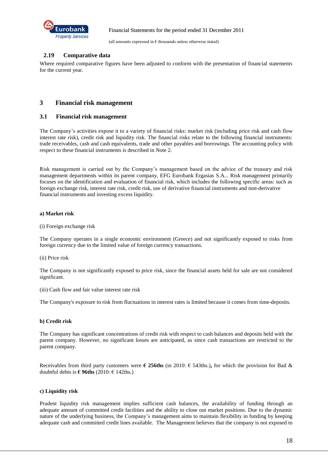

## **2.19 Comparative data**

Where required comparative figures have been adjusted to conform with the presentation of financial statements for the current year.

## **3 Financial risk management**

## **3.1 Financial risk management**

The Company"s activities expose it to a variety of financial risks: market risk (including price risk and cash flow interest rate risk), credit risk and liquidity risk. The financial risks relate to the following financial instruments: trade receivables, cash and cash equivalents, trade and other payables and borrowings. The accounting policy with respect to these financial instruments is described in Note 2.

Risk management is carried out by the Company"s management based on the advice of the treasury and risk management departments within its parent company, EFG Eurobank Ergasias S.A... Risk management primarily focuses on the identification and evaluation of financial risk, which includes the following specific areas: such as foreign exchange risk, interest rate risk, credit risk, use of derivative financial instruments and non-derivative financial instruments and investing excess liquidity.

#### **a) Market risk**

#### (i) Foreign exchange risk

The Company operates in a single economic environment (Greece) and not significantly exposed to risks from foreign currency due to the limited value of foreign currency transactions.

#### (ii) Price risk

The Company is not significantly exposed to price risk, since the financial assets held for sale are not considered significant.

(iii) Cash flow and fair value interest rate risk

The Company's exposure to risk from fluctuations in interest rates is limited because it comes from time-deposits.

#### **b) Credit risk**

The Company has significant concentrations of credit risk with respect to cash balances and deposits held with the parent company. However, no significant losses are anticipated, as since cash transactions are restricted to the parent company.

Receivables from third party customers were  $\epsilon$  256ths (in 2010:  $\epsilon$  543ths.), for which the provision for Bad & doubtful debts is  $\epsilon$  96ths (2010:  $\epsilon$  142ths.)

#### **c) Liquidity risk**

Prudent liquidity risk management implies sufficient cash balances, the availability of funding through an adequate amount of committed credit facilities and the ability to close out market positions. Due to the dynamic nature of the underlying business, the Company"s management aims to maintain flexibility in funding by keeping adequate cash and committed credit lines available. The Management believes that the company is not exposed to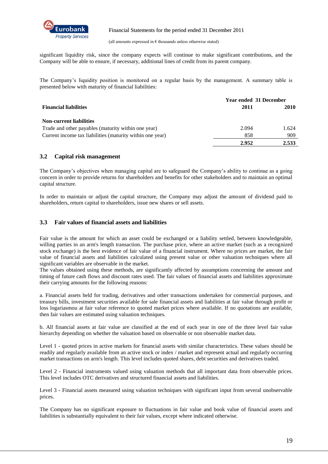

significant liquidity risk, since the company expects will continue to make significant contributions, and the Company will be able to ensure, if necessary, additional lines of credit from its parent company.

The Company"s liquidity position is monitored on a regular basis by the management. A summary table is presented below with maturity of financial liabilities:

|                                                           | <b>Year ended 31 December</b> |       |
|-----------------------------------------------------------|-------------------------------|-------|
| <b>Financial liabilities</b>                              | 2011                          | 2010  |
| <b>Non-current liabilities</b>                            |                               |       |
| Trade and other payables (maturity within one year)       | 2.094                         | 1.624 |
| Current income tax liabilities (maturity within one year) | 858                           | 909   |
|                                                           | 2.952                         | 2.533 |

## **3.2 Capital risk management**

The Company"s objectives when managing capital are to safeguard the Company"s ability to continue as a going concern in order to provide returns for shareholders and benefits for other stakeholders and to maintain an optimal capital structure.

In order to maintain or adjust the capital structure, the Company may adjust the amount of dividend paid to shareholders, return capital to shareholders, issue new shares or sell assets.

## **3.3 Fair values of financial assets and liabilities**

Fair value is the amount for which an asset could be exchanged or a liability settled, between knowledgeable, willing parties in an arm's length transaction. The purchase price, where an active market (such as a recognized stock exchange) is the best evidence of fair value of a financial instrument. Where no prices are market, the fair value of financial assets and liabilities calculated using present value or other valuation techniques where all significant variables are observable in the market.

The values obtained using these methods, are significantly affected by assumptions concerning the amount and timing of future cash flows and discount rates used. The fair values of financial assets and liabilities approximate their carrying amounts for the following reasons:

a. Financial assets held for trading, derivatives and other transactions undertaken for commercial purposes, and treasury bills, investment securities available for sale financial assets and liabilities at fair value through profit or loss logariasmou at fair value reference to quoted market prices where available. If no quotations are available, then fair values are estimated using valuation techniques.

b. All financial assets at fair value are classified at the end of each year in one of the three level fair value hierarchy depending on whether the valuation based on observable or non observable market data.

Level 1 - quoted prices in active markets for financial assets with similar characteristics. These values should be readily and regularly available from an active stock or index / market and represent actual and regularly occurring market transactions on arm's length. This level includes quoted shares, debt securities and derivatives traded.

Level 2 - Financial instruments valued using valuation methods that all important data from observable prices. This level includes OTC derivatives and structured financial assets and liabilities.

Level 3 - Financial assets measured using valuation techniques with significant input from several unobservable prices.

The Company has no significant exposure to fluctuations in fair value and book value of financial assets and liabilities is substantially equivalent to their fair values, except where indicated otherwise.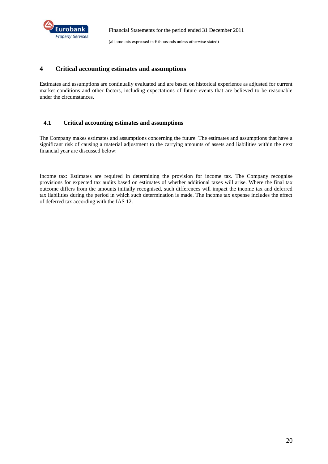

## **4 Critical accounting estimates and assumptions**

Estimates and assumptions are continually evaluated and are based on historical experience as adjusted for current market conditions and other factors, including expectations of future events that are believed to be reasonable under the circumstances.

## **4.1 Critical accounting estimates and assumptions**

The Company makes estimates and assumptions concerning the future. The estimates and assumptions that have a significant risk of causing a material adjustment to the carrying amounts of assets and liabilities within the next financial year are discussed below:

Income tax: Estimates are required in determining the provision for income tax. The Company recognise provisions for expected tax audits based on estimates of whether additional taxes will arise. Where the final tax outcome differs from the amounts initially recognised, such differences will impact the income tax and deferred tax liabilities during the period in which such determination is made. The income tax expense includes the effect of deferred tax according with the IAS 12.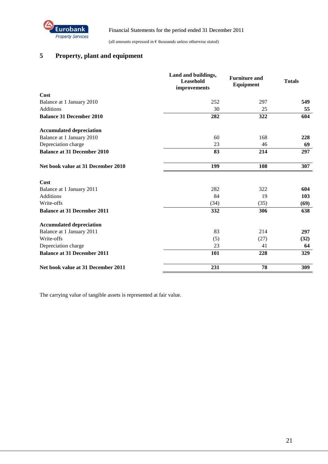

## **5 Property, plant and equipment**

|                                    | Land and buildings,<br><b>Leasehold</b><br>improvements | <b>Furniture and</b><br>Equipment | <b>Totals</b> |
|------------------------------------|---------------------------------------------------------|-----------------------------------|---------------|
| Cost                               |                                                         |                                   |               |
| Balance at 1 January 2010          | 252                                                     | 297                               | 549           |
| Additions                          | 30                                                      | 25                                | 55            |
| <b>Balance 31 December 2010</b>    | 282                                                     | 322                               | 604           |
| <b>Accumulated depreciation</b>    |                                                         |                                   |               |
| Balance at 1 January 2010          | 60                                                      | 168                               | 228           |
| Depreciation charge                | 23                                                      | 46                                | 69            |
| <b>Balance at 31 December 2010</b> | 83                                                      | 214                               | 297           |
| Net book value at 31 December 2010 | 199                                                     | 108                               | 307           |
| Cost                               |                                                         |                                   |               |
| Balance at 1 January 2011          | 282                                                     | 322                               | 604           |
| <b>Additions</b>                   | 84                                                      | 19                                | 103           |
| Write-offs                         | (34)                                                    | (35)                              | (69)          |
| <b>Balance at 31 December 2011</b> | 332                                                     | 306                               | 638           |
| <b>Accumulated depreciation</b>    |                                                         |                                   |               |
| Balance at 1 January 2011          | 83                                                      | 214                               | 297           |
| Write-offs                         | (5)                                                     | (27)                              | (32)          |
| Depreciation charge                | 23                                                      | 41                                | 64            |
| <b>Balance at 31 December 2011</b> | 101                                                     | 228                               | 329           |
| Net book value at 31 December 2011 | 231                                                     | 78                                | 309           |

The carrying value of tangible assets is represented at fair value.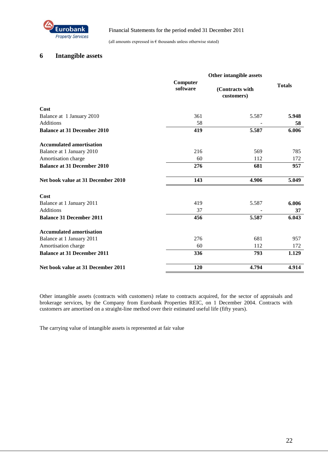

(all amounts expressed in  $\epsilon$  thousands unless otherwise stated)

## **6 Intangible assets**

|                                    | Other intangible assets |                               |               |
|------------------------------------|-------------------------|-------------------------------|---------------|
|                                    | Computer<br>software    | (Contracts with<br>customers) | <b>Totals</b> |
| Cost                               |                         |                               |               |
| Balance at 1 January 2010          | 361                     | 5.587                         | 5.948         |
| Additions                          | 58                      |                               | 58            |
| <b>Balance at 31 December 2010</b> | 419                     | 5.587                         | 6.006         |
| <b>Accumulated amortisation</b>    |                         |                               |               |
| Balance at 1 January 2010          | 216                     | 569                           | 785           |
| Amortisation charge                | 60                      | 112                           | 172           |
| <b>Balance at 31 December 2010</b> | 276                     | 681                           | 957           |
| Net book value at 31 December 2010 | 143                     | 4.906                         | 5.049         |
| Cost                               |                         |                               |               |
| Balance at 1 January 2011          | 419                     | 5.587                         | 6.006         |
| <b>Additions</b>                   | 37                      |                               | 37            |
| <b>Balance 31 December 2011</b>    | 456                     | 5.587                         | 6.043         |
| <b>Accumulated amortisation</b>    |                         |                               |               |
| Balance at 1 January 2011          | 276                     | 681                           | 957           |
| Amortisation charge                | 60                      | 112                           | 172           |
| <b>Balance at 31 December 2011</b> | 336                     | 793                           | 1.129         |
| Net book value at 31 December 2011 | 120                     | 4.794                         | 4.914         |

Other intangible assets (contracts with customers) relate to contracts acquired, for the sector of appraisals and brokerage services, by the Company from Eurobank Properties REIC, on 1 December 2004. Contracts with customers are amortised on a straight-line method over their estimated useful life (fifty years).

The carrying value of intangible assets is represented at fair value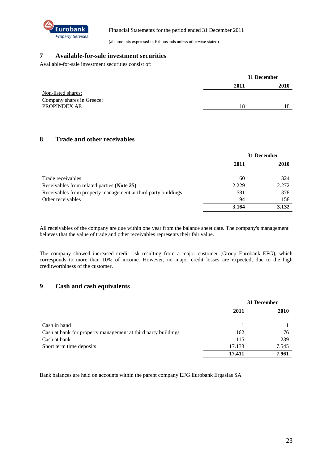

(all amounts expressed in  $\epsilon$  thousands unless otherwise stated)

## **7 Available-for-sale investment securities**

Available-for-sale investment securities consist of:

|                           |      | 31 December |
|---------------------------|------|-------------|
|                           | 2011 | 2010        |
| Non-listed shares:        |      |             |
| Company shares in Greece: |      |             |
| PROPINDEX AE              | 18   | 18          |
|                           |      |             |

## **8 Trade and other receivables**

|                                                               | 31 December |       |
|---------------------------------------------------------------|-------------|-------|
|                                                               | 2011        | 2010  |
| Trade receivables                                             | 160         | 324   |
| Receivables from related parties (Note 25)                    | 2.229       | 2.272 |
| Receivables from property management at third party buildings | 581         | 378   |
| Other receivables                                             | 194         | 158   |
|                                                               | 3.164       | 3.132 |

All receivables of the company are due within one year from the balance sheet date. The company's management believes that the value of trade and other receivables represents their fair value.

The company showed increased credit risk resulting from a major customer (Group Eurobank EFG), which corresponds to more than 10% of income. However, no major credit losses are expected, due to the high creditworthiness of the customer.

## **9 Cash and cash equivalents**

|                                                               | 31 December |       |
|---------------------------------------------------------------|-------------|-------|
|                                                               | 2011        | 2010  |
|                                                               |             |       |
| Cash in hand                                                  |             |       |
| Cash at bank for property management at third party buildings | 162         | 176   |
| Cash at bank                                                  | 115         | 239   |
| Short term time deposits                                      | 17.133      | 7.545 |
|                                                               | 17.411      | 7.961 |

Bank balances are held on accounts within the parent company EFG Eurobank Ergasias SA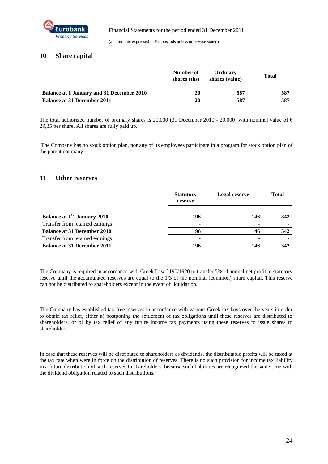

(all amounts expressed in  $\epsilon$  thousands unless otherwise stated)

## **10 Share capital**

|                                                  | Number of<br>shares (ths) | Ordinary<br>shares (value) | Total |
|--------------------------------------------------|---------------------------|----------------------------|-------|
| <b>Balance at 1 January and 31 December 2010</b> | 20                        | 587                        | 587   |
| <b>Balance at 31 December 2011</b>               | 20                        | 587                        | 587   |

The total authorized number of ordinary shares is 20.000 (31 December 2010 - 20.000) with nominal value of  $\epsilon$ 29,35 per share. All shares are fully paid up.

The Company has no stock option plan, nor any of its employees participate in a program for stock option plan of the parent company

## **11 Other reserves**

|                                         | <b>Statutory</b><br>reserve | <b>Legal reserve</b> | <b>Total</b> |
|-----------------------------------------|-----------------------------|----------------------|--------------|
| Balance at 1 <sup>st</sup> January 2010 | 196                         | 146                  | 342          |
| Transfer from retained earnings         | -                           | ٠                    |              |
| <b>Balance at 31 December 2010</b>      | 196                         | 146                  | 342          |
| Transfer from retained earnings         | -                           | ۰                    |              |
| <b>Balance at 31 December 2011</b>      | 196                         | 146                  | 342          |

The Company is required in accordance with Greek Law 2190/1920 to transfer 5% of annual net profit to statutory reserve until the accumulated reserves are equal to the 1/3 of the nominal (common) share capital. This reserve can not be distributed to shareholders except in the event of liquidation.

The Company has established tax-free reserves in accordance with various Greek tax laws over the years in order to obtain tax relief, either a) postponing the settlement of tax obligations until these reserves are distributed to shareholders, or b) by tax relief of any future income tax payments using these reserves to issue shares to shareholders.

In case that these reserves will be distributed to shareholders as dividends, the distributable profits will be taxed at the tax rate when were in force on the distribution of reserves. There is no such provision for income tax liability in a future distribution of such reserves to shareholders, because such liabilities are recognized the same time with the dividend obligation related to such distributions.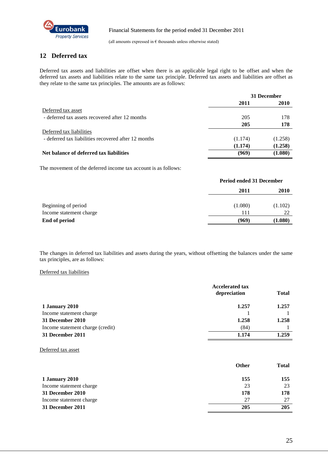

## **12 Deferred tax**

Deferred tax assets and liabilities are offset when there is an applicable legal right to be offset and when the deferred tax assets and liabilities relate to the same tax principle. Deferred tax assets and liabilities are offset as they relate to the same tax principles. The amounts are as follows:

|                                                      | 31 December |         |
|------------------------------------------------------|-------------|---------|
|                                                      | 2011        | 2010    |
| Deferred tax asset                                   |             |         |
| - deferred tax assets recovered after 12 months      | 205         | 178     |
|                                                      | 205         | 178     |
| Deferred tax liabilities                             |             |         |
| - deferred tax liabilities recovered after 12 months | (1.174)     | (1.258) |
|                                                      | (1.174)     | (1.258) |
| Net balance of deferred tax liabilities              | (969)       | (1.080) |

The movement of the deferred income tax account is as follows:

|                         | <b>Period ended 31 December</b> |         |
|-------------------------|---------------------------------|---------|
|                         | 2011                            | 2010    |
| Beginning of period     | (1.080)                         | (1.102) |
| Income statement charge | 111                             | 22      |
| End of period           | (969)                           | (1.080) |

The changes in deferred tax liabilities and assets during the years, without offsetting the balances under the same tax principles, are as follows:

#### Deferred tax liabilities

|                                  | <b>Accelerated tax</b><br>depreciation | <b>Total</b> |
|----------------------------------|----------------------------------------|--------------|
| 1 January 2010                   | 1.257                                  | 1.257        |
| Income statement charge          |                                        |              |
| 31 December 2010                 | 1.258                                  | 1.258        |
| Income statement charge (credit) | (84)                                   |              |
| 31 December 2011                 | 1.174                                  | 1.259        |

Deferred tax asset

|                         | <b>Other</b> | <b>Total</b> |
|-------------------------|--------------|--------------|
| 1 January 2010          | 155          | 155          |
| Income statement charge | 23           | 23           |
| 31 December 2010        | 178          | 178          |
| Income statement charge | 27           | 27           |
| 31 December 2011        | 205          | 205          |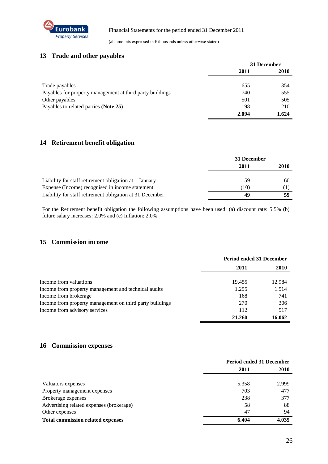

(all amounts expressed in  $\epsilon$  thousands unless otherwise stated)

## **13 Trade and other payables**

|                                                           | 31 December |       |
|-----------------------------------------------------------|-------------|-------|
|                                                           | 2011        | 2010  |
| Trade payables                                            | 655         | 354   |
| Payables for property management at third party buildings | 740         | 555   |
| Other payables                                            | 501         | 505   |
| Payables to related parties (Note 25)                     | 198         | 210   |
|                                                           | 2.094       | 1.624 |

## **14 Retirement benefit obligation**

|                                                          | 31 December |      |
|----------------------------------------------------------|-------------|------|
|                                                          | 2011        | 2010 |
| Liability for staff retirement obligation at 1 January   | 59          | 60   |
| Expense (Income) recognised in income statement          | (10)        |      |
| Liability for staff retirement obligation at 31 December | 49          |      |

For the Retirement benefit obligation the following assumptions have been used: (a) discount rate: 5.5% (b) future salary increases: 2.0% and (c) Inflation: 2.0%.

## **15 Commission income**

|                                                          | <b>Period ended 31 December</b> |        |
|----------------------------------------------------------|---------------------------------|--------|
|                                                          | 2011                            | 2010   |
| Income from valuations                                   | 19.455                          | 12.984 |
| Income from property management and technical audits     | 1.255                           | 1.514  |
| Income from brokerage                                    | 168                             | 741    |
| Income from property management on third party buildings | 270                             | 306    |
| Income from advisory services                            | 112                             | 517    |
|                                                          | 21.260                          | 16.062 |

## **16 Commission expenses**

|                                          | <b>Period ended 31 December</b> |       |
|------------------------------------------|---------------------------------|-------|
|                                          | 2011                            | 2010  |
|                                          |                                 |       |
| Valuators expenses                       | 5.358                           | 2.999 |
| Property management expenses             | 703                             | 477   |
| Brokerage expenses                       | 238                             | 377   |
| Advertising related expenses (brokerage) | 58                              | 88    |
| Other expenses                           | 47                              | 94    |
| <b>Total commission related expenses</b> | 6.404                           | 4.035 |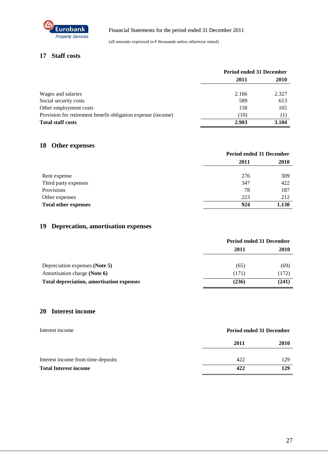

(all amounts expressed in  $\epsilon$  thousands unless otherwise stated)

## **17 Staff costs**

|                                                              | <b>Period ended 31 December</b> |       |
|--------------------------------------------------------------|---------------------------------|-------|
|                                                              | 2011                            | 2010  |
|                                                              |                                 |       |
| Wages and salaries                                           | 2.166                           | 2.327 |
| Social security costs                                        | 589                             | 613   |
| Other employment costs                                       | 158                             | 165   |
| Provision for retirement benefit obligation expense (income) | (10)                            | (1)   |
| <b>Total staff costs</b>                                     | 2.903                           | 3.104 |

## **18 Other expenses**

|                             | Period ended 31 December |       |
|-----------------------------|--------------------------|-------|
|                             | 2011                     | 2010  |
|                             |                          |       |
| Rent expense                | 276                      | 309   |
| Third party expenses        | 347                      | 422   |
| Provisions                  | 78                       | 187   |
| Other expenses              | 223                      | 212   |
| <b>Total other expenses</b> | 924                      | 1.130 |

## **19 Deprecation, amortisation expenses**

|                                           | Period ended 31 December |       |
|-------------------------------------------|--------------------------|-------|
|                                           | 2011                     | 2010  |
|                                           |                          |       |
| Depreciation expenses (Note 5)            | (65)                     | (69)  |
| Amortisation charge (Note 6)              | (171)                    | (172) |
| Total depreciation, amortisation expenses | (236)                    | (241) |

## **20 Interest income**

| Interest income                    | <b>Period ended 31 December</b> |      |
|------------------------------------|---------------------------------|------|
|                                    | 2011                            | 2010 |
| Interest income from time-deposits | 422                             | 129  |
| <b>Total Interest income</b>       | 422                             | 129  |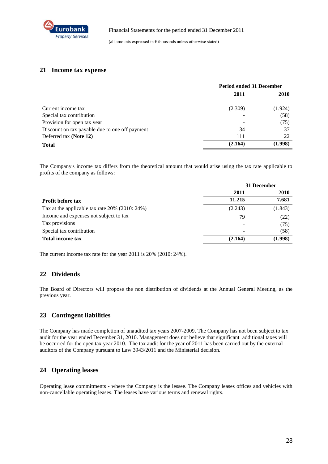

## **21 Income tax expense**

|                                                | <b>Period ended 31 December</b> |         |
|------------------------------------------------|---------------------------------|---------|
|                                                | 2011                            | 2010    |
| Current income tax                             | (2.309)                         | (1.924) |
| Special tax contribution                       |                                 | (58)    |
| Provision for open tax year                    |                                 | (75)    |
| Discount on tax payable due to one off payment | 34                              | 37      |
| Deferred tax (Note 12)                         | 111                             | 22      |
| <b>Total</b>                                   | (2.164)                         | (1.998) |

The Company's income tax differs from the theoretical amount that would arise using the tax rate applicable to profits of the company as follows:

|                                                   | 31 December     |         |
|---------------------------------------------------|-----------------|---------|
|                                                   | 2011            | 2010    |
| <b>Profit before tax</b>                          | 11.215          | 7.681   |
| Tax at the applicable tax rate $20\%$ (2010: 24%) | (2.243)         | (1.843) |
| Income and expenses not subject to tax            | 79              | (22)    |
| Tax provisions                                    | $\qquad \qquad$ | (75)    |
| Special tax contribution                          |                 | (58)    |
| <b>Total income tax</b>                           | (2.164)         | (1.998) |

The current income tax rate for the year 2011 is 20% (2010: 24%).

## **22 Dividends**

The Board of Directors will propose the non distribution of dividends at the Annual General Meeting, as the previous year.

## **23 Contingent liabilities**

The Company has made completion of unaudited tax years 2007-2009. The Company has not been subject to tax audit for the year ended December 31, 2010. Management does not believe that significant additional taxes will be occurred for the open tax year 2010. The tax audit for the year of 2011 has been carried out by the external auditors of the Company pursuant to Law 3943/2011 and the Ministerial decision.

## **24 Operating leases**

Operating lease commitments - where the Company is the lessee. The Company leases offices and vehicles with non-cancellable operating leases. The leases have various terms and renewal rights.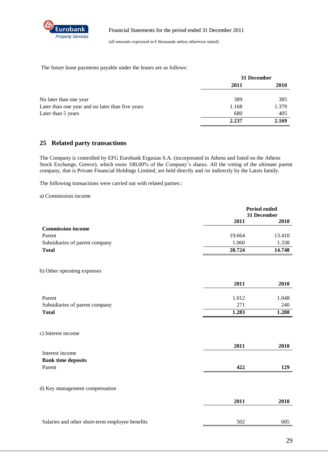

(all amounts expressed in  $\epsilon$  thousands unless otherwise stated)

The future lease payments payable under the leases are as follows:

|                                                  | 31 December |             |
|--------------------------------------------------|-------------|-------------|
|                                                  | 2011        | <b>2010</b> |
|                                                  |             |             |
| No later than one year                           | 389         | 385         |
| Later than one year and no later than five years | 1.168       | 1.379       |
| Later than 5 years                               | 680         | 405         |
|                                                  | 2.237       | 2.169       |

## **25 Related party transactions**

The Company is controlled by EFG Eurobank Ergasias S.A. (incorporated in Athens and listed on the Athens Stock Exchange, Greece), which owns 100,00% of the Company"s shares. All the voting of the ultimate parent company, that is Private Financial Holdings Limited, are held directly and /or indirectly by the Latsis family.

The following transactions were carried out with related parties::

a) Commission income

|                                                 | <b>Period ended</b><br>31 December |        |
|-------------------------------------------------|------------------------------------|--------|
|                                                 | 2011                               | 2010   |
| <b>Commission income</b>                        |                                    |        |
| Parent                                          | 19.664                             | 13.410 |
| Subsidiaries of parent company                  | 1.060                              | 1.338  |
| <b>Total</b>                                    | 20.724                             | 14.748 |
|                                                 |                                    |        |
| b) Other operating expenses                     |                                    |        |
|                                                 | 2011                               | 2010   |
| Parent                                          | 1.012                              | 1.048  |
| Subsidiaries of parent company                  | 271                                | 240    |
| <b>Total</b>                                    | 1.283                              | 1.288  |
| c) Interest income                              |                                    |        |
|                                                 | 2011                               | 2010   |
| Interest income                                 |                                    |        |
| <b>Bank</b> time deposits                       |                                    |        |
| Parent                                          | 422                                | 129    |
|                                                 |                                    |        |
| d) Key management compensation                  |                                    |        |
|                                                 | 2011                               | 2010   |
|                                                 |                                    |        |
| Salaries and other short-term employee benefits | 502                                | 605    |